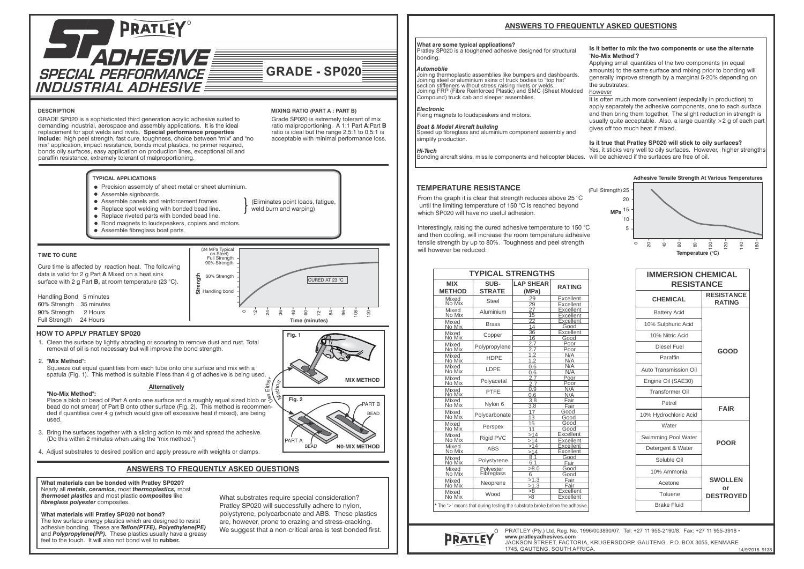

GRADE SP020 is a sophisticated third generation acrylic adhesive suited to demanding industrial, aerospace and assembly applications. It is the ideal replacement for spot welds and rivets. **Special performance properties include:** high peel strength, fast cure, toughness, choice between "mix" and "no

## **DESCRIPTION MIXING RATIO (PART A : PART B)**

**GRADE - SP020**

(Eliminates point loads, fatigue, weld burn and warping

Grade SP020 is extremely tolerant of mix ratio malproportioning. A 1:1 Part **A**:Part **B** ratio is ideal but the range 2,5:1 to 0,5:1 is acceptable with minimal performance loss.



### **TYPICAL APPLICATIONS**

- **•** Precision assembly of sheet metal or sheet aluminium.
- Assemble signboards
- Assemble panels and reinforcement frames.
- Replace spot welding with bonded bead line.
- Replace riveted parts with bonded bead line.
- Bond magnets to loudspeakers, copiers and motors.
- Assemble fibreglass boat parts.

### **TIME TO CURE**

 $\sim$  $\overline{2}$  $\vec{z}$ 36  $\overline{9}$ 60 Handling bond **Strength** 60% Strength 90% Strength ` on Stéel)<br>Full Strength (24 MPa Typical  $\alpha$  $\overline{z}$ Cure time is affected by reaction heat. The following data is valid for 2 g Part **A** Mixed on a heat sink surface with 2 g Part **B,** at room temperature (23 °C). CURED AT 23 °C

> r $^\varpi$  , thE

**Time (minutes)** 96 <u>ខ</u> 120

# **HOW TO APPLY PRATLEY SP020**

Handling Bond 5 minutes 60% Strength 35 minutes 90% Strength 2 Hours Full Strength 24 Hours

1. Clean the surface by lightly abrading or scouring to remove dust and rust. Total removal of oil is not necessary but will improve the bond strength.

#### 2. **"Mix Method":**

 Squeeze out equal quantities from each tube onto one surface and mix with a spatula (Fig. 1). This method is suitable if less than 4 g of adhesive is being used.

#### **Alternatively**

 **"No-Mix Method":** Place a blob or bead of Part A onto one surface and a roughly equal sized blob or  $\overset{\circ}{\diamond}$ . bead do not smear) of Part B onto other surface (Fig. 2). This method is recommen ded if quantities over 4 g (which would give off excessive heat if mixed), are being used.

- 3. Bring the surfaces together with a sliding action to mix and spread the adhesive. (Do this within 2 minutes when using the "mix method.")
- 4. Adjust substrates to desired position and apply pressure with weights or clamps.

## **ANSWERS TO FREQUENTLY ASKED QUESTIONS**

**What materials can be bonded with Pratley SP020?** Nearly all *metals, ceramics,* most *thermoplastics,* most *thermoset plastics* and most plastic *composites* like *fibreglass polyester* composites.

**What materials will Pratley SP020 not bond?**

The low surface energy plastics which are designed to resist adhesive bonding. These are *Teflon(PTFE), Polyethylene(PE)* and *Polypropylene(PP).* These plastics usually have a greasy feel to the touch. It will also not bond well to **rubber.**

What substrates require special consideration? Pratley SP020 will successfully adhere to nylon, polystyrene, polycarbonate and ABS. These plastics are, however, prone to crazing and stress-cracking. We suggest that a non-critical area is test bonded first.



**'No-Mix Method'?**

the substrates; however

gives off too much heat if mixed.

## **What are some typical applications?**

Pratley SP020 is a toughened adhesive designed for structural bonding.

## *Automobile*

Joining thermoplastic assemblies like bumpers and dashboards. Joining steel or aluminium skins of truck bodies to "top hat" section stiffeners without stress raising rivets or welds. Joining FRP (Fibre Reinforced Plastic) and SMC (Sheet Moulded Compound) truck cab and sleeper assemblies.

*Electronic* Fixing magnets to loudspeakers and motors.

*Boat & Model Aircraft building* Speed up fibreglass and aluminium component assembly and simplify production.

#### *Hi-Tech*

Bonding aircraft skins, missile components and helicopter blades. will be achieved if the surfaces are free of oil.

### **TEMPERATURE RESISTANCE**

From the graph it is clear that strength reduces above 25 °C. until the limiting temperature of 150 °C is reached beyond which SP020 will have no useful adhesion.

Interestingly, raising the cured adhesive temperature to 150 °C and then cooling, will increase the room temperature adhesive tensile strength by up to 80%. Toughness and peel strength will however be reduced.

| Mixed<br>No Mix<br>Mixed<br>No Mix<br>Mixed<br>No Mix<br>Mixed<br>No Mix<br>Mixed<br>No Mix<br>Mixed<br>No Mix<br>Mixed<br>No Mix<br>Mixed<br>No Mix<br>Mixed<br>No Mix<br>Mixed<br>No Mix<br>Mixed<br>No Mix<br>Mixed<br>No Mix<br>Mixed<br>No Mix<br>Mixed | Steel<br>Aluminium<br><b>Brass</b><br>Copper<br>Polypropylene<br><b>HDPE</b><br><b>I DPF</b><br>Polyacetal<br>PTFF | 29<br>29<br>27<br>15<br>22<br>14<br>$\overline{36}$<br>16<br>2.7<br>2.7<br>1.2<br>$\overline{1.2}$<br>0.6<br>0.6<br>2.7<br>2.7<br>0.9<br>0.6 | Excellent<br>Excellent<br>Excellent<br>Excellent<br>Excellent<br>Good<br>Excellent<br>Good<br>Poor<br>Poor<br>N/A<br>N/A<br>N/A<br>N/A<br>Poor<br>Poor<br>N/A |
|--------------------------------------------------------------------------------------------------------------------------------------------------------------------------------------------------------------------------------------------------------------|--------------------------------------------------------------------------------------------------------------------|----------------------------------------------------------------------------------------------------------------------------------------------|---------------------------------------------------------------------------------------------------------------------------------------------------------------|
|                                                                                                                                                                                                                                                              |                                                                                                                    |                                                                                                                                              |                                                                                                                                                               |
|                                                                                                                                                                                                                                                              |                                                                                                                    |                                                                                                                                              |                                                                                                                                                               |
|                                                                                                                                                                                                                                                              |                                                                                                                    |                                                                                                                                              |                                                                                                                                                               |
|                                                                                                                                                                                                                                                              |                                                                                                                    |                                                                                                                                              |                                                                                                                                                               |
|                                                                                                                                                                                                                                                              |                                                                                                                    |                                                                                                                                              |                                                                                                                                                               |
|                                                                                                                                                                                                                                                              |                                                                                                                    |                                                                                                                                              |                                                                                                                                                               |
|                                                                                                                                                                                                                                                              |                                                                                                                    |                                                                                                                                              |                                                                                                                                                               |
|                                                                                                                                                                                                                                                              |                                                                                                                    |                                                                                                                                              |                                                                                                                                                               |
|                                                                                                                                                                                                                                                              |                                                                                                                    |                                                                                                                                              |                                                                                                                                                               |
|                                                                                                                                                                                                                                                              |                                                                                                                    |                                                                                                                                              |                                                                                                                                                               |
|                                                                                                                                                                                                                                                              |                                                                                                                    |                                                                                                                                              |                                                                                                                                                               |
|                                                                                                                                                                                                                                                              |                                                                                                                    |                                                                                                                                              |                                                                                                                                                               |
|                                                                                                                                                                                                                                                              |                                                                                                                    |                                                                                                                                              |                                                                                                                                                               |
|                                                                                                                                                                                                                                                              |                                                                                                                    |                                                                                                                                              |                                                                                                                                                               |
|                                                                                                                                                                                                                                                              |                                                                                                                    |                                                                                                                                              |                                                                                                                                                               |
|                                                                                                                                                                                                                                                              |                                                                                                                    |                                                                                                                                              |                                                                                                                                                               |
|                                                                                                                                                                                                                                                              |                                                                                                                    |                                                                                                                                              |                                                                                                                                                               |
|                                                                                                                                                                                                                                                              |                                                                                                                    |                                                                                                                                              | N/A                                                                                                                                                           |
|                                                                                                                                                                                                                                                              | Nylon 6                                                                                                            | 3.8                                                                                                                                          | Fair                                                                                                                                                          |
|                                                                                                                                                                                                                                                              |                                                                                                                    | $\overline{3.8}$                                                                                                                             | Fair                                                                                                                                                          |
|                                                                                                                                                                                                                                                              | Polycarbonate                                                                                                      | $\overline{17}$                                                                                                                              | Good                                                                                                                                                          |
|                                                                                                                                                                                                                                                              |                                                                                                                    | $\overline{13}$                                                                                                                              | Good<br>Good                                                                                                                                                  |
|                                                                                                                                                                                                                                                              | Perspex                                                                                                            | 15                                                                                                                                           |                                                                                                                                                               |
|                                                                                                                                                                                                                                                              |                                                                                                                    | 11                                                                                                                                           | Good<br>Excellent                                                                                                                                             |
|                                                                                                                                                                                                                                                              | Rigid PVC                                                                                                          | >14                                                                                                                                          |                                                                                                                                                               |
|                                                                                                                                                                                                                                                              |                                                                                                                    | >14<br>>14                                                                                                                                   | Excellent<br>Excellent                                                                                                                                        |
|                                                                                                                                                                                                                                                              | <b>ABS</b><br>Polystyrene                                                                                          |                                                                                                                                              | Excellent                                                                                                                                                     |
| No Mix                                                                                                                                                                                                                                                       |                                                                                                                    | >14<br>8.1                                                                                                                                   | Good                                                                                                                                                          |
| Mixed<br>No Mix                                                                                                                                                                                                                                              |                                                                                                                    | 6.1                                                                                                                                          | Fair                                                                                                                                                          |
|                                                                                                                                                                                                                                                              |                                                                                                                    | >8.0                                                                                                                                         |                                                                                                                                                               |
| Mixed<br>No Mix                                                                                                                                                                                                                                              | Polyester<br>Fibreglass                                                                                            | 6                                                                                                                                            | Good                                                                                                                                                          |
|                                                                                                                                                                                                                                                              |                                                                                                                    |                                                                                                                                              | Good<br>Fair                                                                                                                                                  |
| Mixed<br>No Mix                                                                                                                                                                                                                                              |                                                                                                                    |                                                                                                                                              |                                                                                                                                                               |
| Mixed                                                                                                                                                                                                                                                        | Neoprene                                                                                                           | >1.3<br>>1.3                                                                                                                                 | Fair                                                                                                                                                          |



**Is it better to mix the two components or use the alternate** 

It is often much more convenient (especially in production) to apply separately the adhesive components, one to each surface and then bring them together, The slight reduction in strength is usually quite acceptable. Also, a large quantity >2 g of each part

**Is it true that Pratley SP020 will stick to oily surfaces?** Yes, it sticks very well to oily surfaces. However, higher strengths

Applying small quantities of the two components (in equal amounts) to the same surface and mixing prior to bonding will generally improve strength by a marginal 5-20% depending on

| <b>IMMERSION CHEMICAL</b><br><b>RESISTANCE</b> |                                    |  |
|------------------------------------------------|------------------------------------|--|
| <b>CHEMICAL</b>                                | <b>RESISTANCE</b><br><b>RATING</b> |  |
| <b>Battery Acid</b>                            |                                    |  |
| 10% Sulphuric Acid                             |                                    |  |
| 10% Nitric Acid                                | GOOD                               |  |
| Diesel Fuel                                    |                                    |  |
| Paraffin                                       |                                    |  |
| Auto Transmission Oil                          |                                    |  |
| Engine Oil (SAE30)                             |                                    |  |
| Transformer Oil                                |                                    |  |
| Petrol                                         | <b>FAIR</b>                        |  |
| 10% Hydrochloric Acid                          |                                    |  |
| Water                                          |                                    |  |
| Swimming Pool Water                            | <b>POOR</b>                        |  |
| Detergent & Water                              |                                    |  |
| Soluble Oil                                    |                                    |  |
| 10% Ammonia                                    |                                    |  |
| Acetone                                        | <b>SWOLLEN</b><br>or               |  |
| Toluene                                        | <b>DESTROYED</b>                   |  |
| <b>Brake Fluid</b>                             |                                    |  |



PRATLEY (Pty.) Ltd. Reg. No. 1996/003890/07. Tel: +27 11 955-2190/8. Fax: +27 11 955-3918 • **www.pratleyadhesives.com** JACKSON STREET, FACTORIA, KRUGERSDORP, GAUTENG. P.O. BOX 3055, KENMARE 1745, GAUTENG, SOUTH AFRICA.